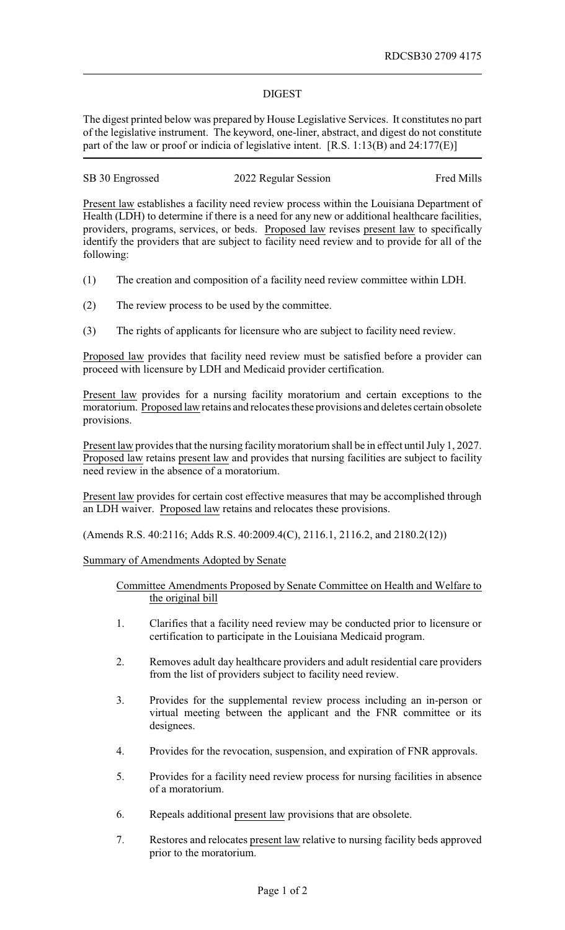## DIGEST

The digest printed below was prepared by House Legislative Services. It constitutes no part of the legislative instrument. The keyword, one-liner, abstract, and digest do not constitute part of the law or proof or indicia of legislative intent. [R.S. 1:13(B) and 24:177(E)]

| SB 30 Engrossed | 2022 Regular Session | Fred Mills |
|-----------------|----------------------|------------|
|                 |                      |            |

Present law establishes a facility need review process within the Louisiana Department of Health (LDH) to determine if there is a need for any new or additional healthcare facilities, providers, programs, services, or beds. Proposed law revises present law to specifically identify the providers that are subject to facility need review and to provide for all of the following:

- (1) The creation and composition of a facility need review committee within LDH.
- (2) The review process to be used by the committee.
- (3) The rights of applicants for licensure who are subject to facility need review.

Proposed law provides that facility need review must be satisfied before a provider can proceed with licensure by LDH and Medicaid provider certification.

Present law provides for a nursing facility moratorium and certain exceptions to the moratorium. Proposed law retains and relocates these provisions and deletes certain obsolete provisions.

Present law provides that the nursing facility moratorium shall be in effect until July 1, 2027. Proposed law retains present law and provides that nursing facilities are subject to facility need review in the absence of a moratorium.

Present law provides for certain cost effective measures that may be accomplished through an LDH waiver. Proposed law retains and relocates these provisions.

(Amends R.S. 40:2116; Adds R.S. 40:2009.4(C), 2116.1, 2116.2, and 2180.2(12))

Summary of Amendments Adopted by Senate

Committee Amendments Proposed by Senate Committee on Health and Welfare to the original bill

- 1. Clarifies that a facility need review may be conducted prior to licensure or certification to participate in the Louisiana Medicaid program.
- 2. Removes adult day healthcare providers and adult residential care providers from the list of providers subject to facility need review.
- 3. Provides for the supplemental review process including an in-person or virtual meeting between the applicant and the FNR committee or its designees.
- 4. Provides for the revocation, suspension, and expiration of FNR approvals.
- 5. Provides for a facility need review process for nursing facilities in absence of a moratorium.
- 6. Repeals additional present law provisions that are obsolete.
- 7. Restores and relocates present law relative to nursing facility beds approved prior to the moratorium.